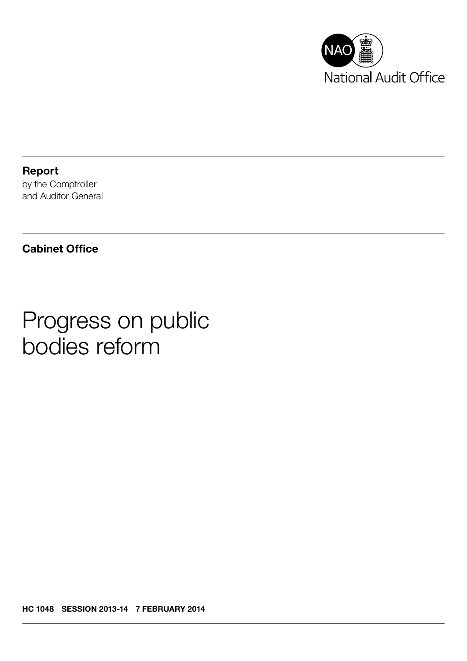

Report by the Comptroller and Auditor General

## Cabinet Office

# Progress on public bodies reform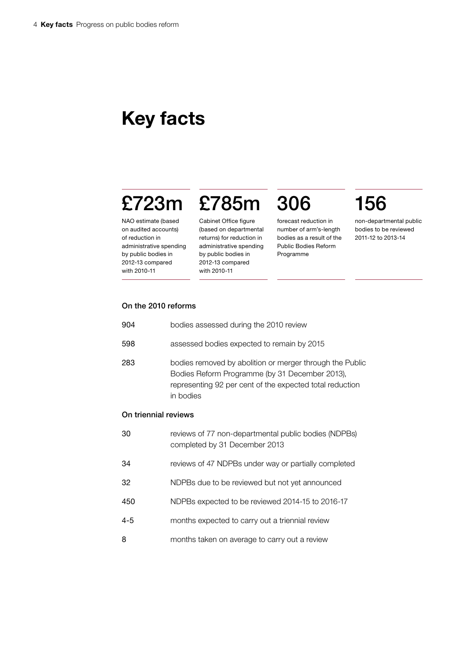## Key facts

# £723m £785m 306 156

### NAO estimate (based on audited accounts) of reduction in administrative spending by public bodies in 2012-13 compared with 2010-11

Cabinet Office figure (based on departmental returns) for reduction in administrative spending by public bodies in 2012-13 compared with 2010-11

forecast reduction in number of arm's-length bodies as a result of the Public Bodies Reform Programme

non-departmental public bodies to be reviewed 2011-12 to 2013-14

## On the 2010 reforms

| 904                  | bodies assessed during the 2010 review                                                                                                                                              |
|----------------------|-------------------------------------------------------------------------------------------------------------------------------------------------------------------------------------|
| 598                  | assessed bodies expected to remain by 2015                                                                                                                                          |
| 283                  | bodies removed by abolition or merger through the Public<br>Bodies Reform Programme (by 31 December 2013),<br>representing 92 per cent of the expected total reduction<br>in bodies |
| On triennial reviews |                                                                                                                                                                                     |
| 30                   | reviews of 77 non-departmental public bodies (NDPBs)<br>completed by 31 December 2013                                                                                               |
| 34                   | reviews of 47 NDPBs under way or partially completed                                                                                                                                |
| 32                   | NDPBs due to be reviewed but not yet announced                                                                                                                                      |
| 450                  | NDPBs expected to be reviewed 2014-15 to 2016-17                                                                                                                                    |
| $4 - 5$              | months expected to carry out a triennial review                                                                                                                                     |
| 8                    | months taken on average to carry out a review                                                                                                                                       |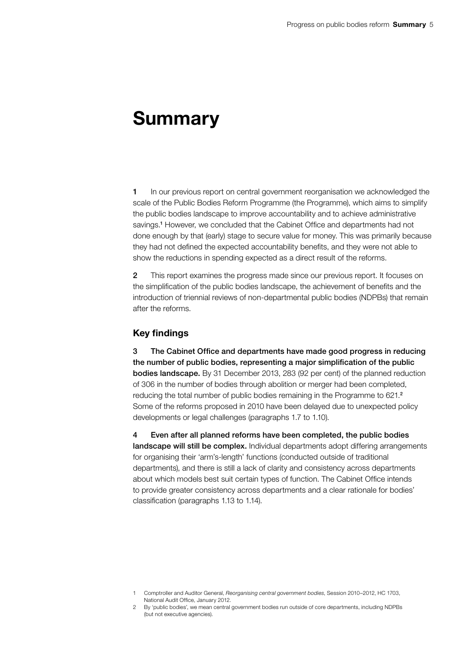## Summary

1 In our previous report on central government reorganisation we acknowledged the scale of the Public Bodies Reform Programme (the Programme), which aims to simplify the public bodies landscape to improve accountability and to achieve administrative savings.<sup>1</sup> However, we concluded that the Cabinet Office and departments had not done enough by that (early) stage to secure value for money. This was primarily because they had not defined the expected accountability benefits, and they were not able to show the reductions in spending expected as a direct result of the reforms.

2 This report examines the progress made since our previous report. It focuses on the simplification of the public bodies landscape, the achievement of benefits and the introduction of triennial reviews of non-departmental public bodies (NDPBs) that remain after the reforms.

## Key findings

3 The Cabinet Office and departments have made good progress in reducing the number of public bodies, representing a major simplification of the public bodies landscape. By 31 December 2013, 283 (92 per cent) of the planned reduction of 306 in the number of bodies through abolition or merger had been completed, reducing the total number of public bodies remaining in the Programme to 621.<sup>2</sup> Some of the reforms proposed in 2010 have been delayed due to unexpected policy developments or legal challenges (paragraphs 1.7 to 1.10).

4 Even after all planned reforms have been completed, the public bodies landscape will still be complex. Individual departments adopt differing arrangements for organising their 'arm's-length' functions (conducted outside of traditional departments), and there is still a lack of clarity and consistency across departments about which models best suit certain types of function. The Cabinet Office intends to provide greater consistency across departments and a clear rationale for bodies' classification (paragraphs 1.13 to 1.14).

<sup>1</sup> Comptroller and Auditor General, *Reorganising central government bodies*, Session 2010–2012, HC 1703, National Audit Office, January 2012.

<sup>2</sup> By 'public bodies', we mean central government bodies run outside of core departments, including NDPBs (but not executive agencies).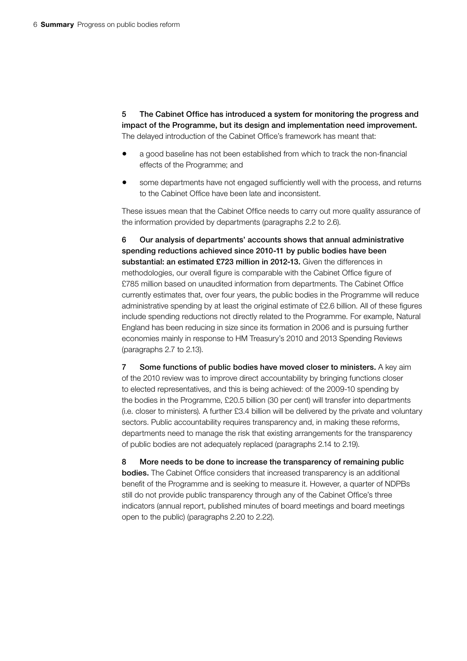5 The Cabinet Office has introduced a system for monitoring the progress and impact of the Programme, but its design and implementation need improvement. The delayed introduction of the Cabinet Office's framework has meant that:

- a good baseline has not been established from which to track the non-financial effects of the Programme; and
- some departments have not engaged sufficiently well with the process, and returns to the Cabinet Office have been late and inconsistent.

These issues mean that the Cabinet Office needs to carry out more quality assurance of the information provided by departments (paragraphs 2.2 to 2.6).

6 Our analysis of departments' accounts shows that annual administrative spending reductions achieved since 2010-11 by public bodies have been substantial: an estimated £723 million in 2012-13. Given the differences in methodologies, our overall figure is comparable with the Cabinet Office figure of £785 million based on unaudited information from departments. The Cabinet Office currently estimates that, over four years, the public bodies in the Programme will reduce administrative spending by at least the original estimate of £2.6 billion. All of these figures include spending reductions not directly related to the Programme. For example, Natural England has been reducing in size since its formation in 2006 and is pursuing further economies mainly in response to HM Treasury's 2010 and 2013 Spending Reviews (paragraphs 2.7 to 2.13).

7 Some functions of public bodies have moved closer to ministers. A key aim of the 2010 review was to improve direct accountability by bringing functions closer to elected representatives, and this is being achieved: of the 2009-10 spending by the bodies in the Programme, £20.5 billion (30 per cent) will transfer into departments (i.e. closer to ministers). A further £3.4 billion will be delivered by the private and voluntary sectors. Public accountability requires transparency and, in making these reforms, departments need to manage the risk that existing arrangements for the transparency of public bodies are not adequately replaced (paragraphs 2.14 to 2.19).

8 More needs to be done to increase the transparency of remaining public bodies. The Cabinet Office considers that increased transparency is an additional benefit of the Programme and is seeking to measure it. However, a quarter of NDPBs still do not provide public transparency through any of the Cabinet Office's three indicators (annual report, published minutes of board meetings and board meetings open to the public) (paragraphs 2.20 to 2.22).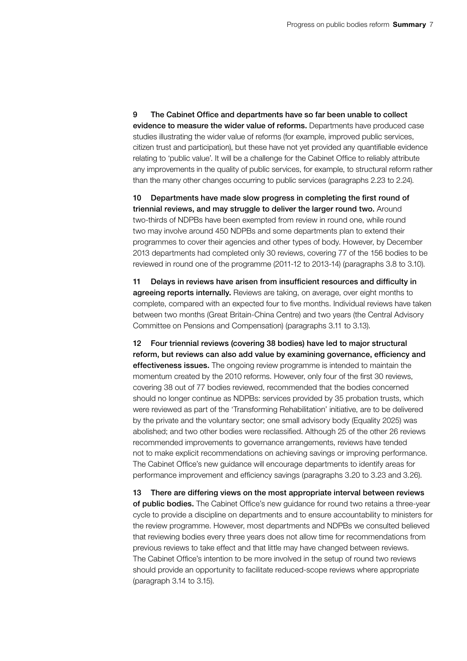9 The Cabinet Office and departments have so far been unable to collect evidence to measure the wider value of reforms. Departments have produced case studies illustrating the wider value of reforms (for example, improved public services, citizen trust and participation), but these have not yet provided any quantifiable evidence relating to 'public value'. It will be a challenge for the Cabinet Office to reliably attribute any improvements in the quality of public services, for example, to structural reform rather than the many other changes occurring to public services (paragraphs 2.23 to 2.24).

10 Departments have made slow progress in completing the first round of triennial reviews, and may struggle to deliver the larger round two. Around two-thirds of NDPBs have been exempted from review in round one, while round two may involve around 450 NDPBs and some departments plan to extend their programmes to cover their agencies and other types of body. However, by December 2013 departments had completed only 30 reviews, covering 77 of the 156 bodies to be reviewed in round one of the programme (2011-12 to 2013-14) (paragraphs 3.8 to 3.10).

11 Delays in reviews have arisen from insufficient resources and difficulty in agreeing reports internally. Reviews are taking, on average, over eight months to complete, compared with an expected four to five months. Individual reviews have taken between two months (Great Britain-China Centre) and two years (the Central Advisory Committee on Pensions and Compensation) (paragraphs 3.11 to 3.13).

12 Four triennial reviews (covering 38 bodies) have led to major structural reform, but reviews can also add value by examining governance, efficiency and effectiveness issues. The ongoing review programme is intended to maintain the momentum created by the 2010 reforms. However, only four of the first 30 reviews, covering 38 out of 77 bodies reviewed, recommended that the bodies concerned should no longer continue as NDPBs: services provided by 35 probation trusts, which were reviewed as part of the 'Transforming Rehabilitation' initiative, are to be delivered by the private and the voluntary sector; one small advisory body (Equality 2025) was abolished; and two other bodies were reclassified. Although 25 of the other 26 reviews recommended improvements to governance arrangements, reviews have tended not to make explicit recommendations on achieving savings or improving performance. The Cabinet Office's new guidance will encourage departments to identify areas for performance improvement and efficiency savings (paragraphs 3.20 to 3.23 and 3.26).

13 There are differing views on the most appropriate interval between reviews of public bodies. The Cabinet Office's new guidance for round two retains a three-year cycle to provide a discipline on departments and to ensure accountability to ministers for the review programme. However, most departments and NDPBs we consulted believed that reviewing bodies every three years does not allow time for recommendations from previous reviews to take effect and that little may have changed between reviews. The Cabinet Office's intention to be more involved in the setup of round two reviews should provide an opportunity to facilitate reduced-scope reviews where appropriate (paragraph 3.14 to 3.15).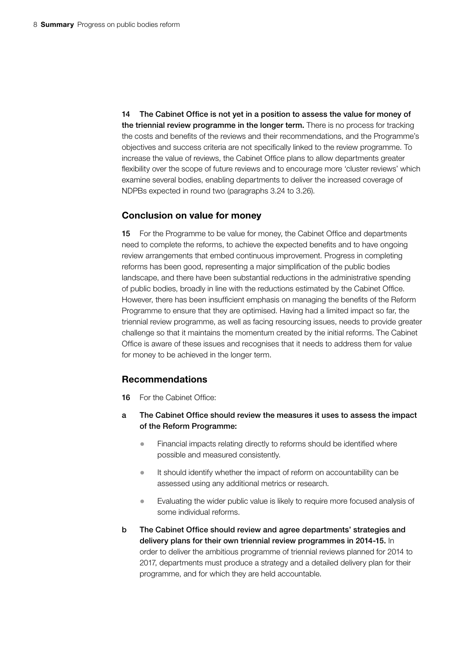14 The Cabinet Office is not yet in a position to assess the value for money of the triennial review programme in the longer term. There is no process for tracking the costs and benefits of the reviews and their recommendations, and the Programme's objectives and success criteria are not specifically linked to the review programme. To increase the value of reviews, the Cabinet Office plans to allow departments greater flexibility over the scope of future reviews and to encourage more 'cluster reviews' which examine several bodies, enabling departments to deliver the increased coverage of NDPBs expected in round two (paragraphs 3.24 to 3.26).

### Conclusion on value for money

15 For the Programme to be value for money, the Cabinet Office and departments need to complete the reforms, to achieve the expected benefits and to have ongoing review arrangements that embed continuous improvement. Progress in completing reforms has been good, representing a major simplification of the public bodies landscape, and there have been substantial reductions in the administrative spending of public bodies, broadly in line with the reductions estimated by the Cabinet Office. However, there has been insufficient emphasis on managing the benefits of the Reform Programme to ensure that they are optimised. Having had a limited impact so far, the triennial review programme, as well as facing resourcing issues, needs to provide greater challenge so that it maintains the momentum created by the initial reforms. The Cabinet Office is aware of these issues and recognises that it needs to address them for value for money to be achieved in the longer term.

## Recommendations

- 16 For the Cabinet Office:
- a The Cabinet Office should review the measures it uses to assess the impact of the Reform Programme:
	- Financial impacts relating directly to reforms should be identified where possible and measured consistently.
	- It should identify whether the impact of reform on accountability can be assessed using any additional metrics or research.
	- Evaluating the wider public value is likely to require more focused analysis of some individual reforms.
- b The Cabinet Office should review and agree departments' strategies and delivery plans for their own triennial review programmes in 2014-15. In order to deliver the ambitious programme of triennial reviews planned for 2014 to 2017, departments must produce a strategy and a detailed delivery plan for their programme, and for which they are held accountable.